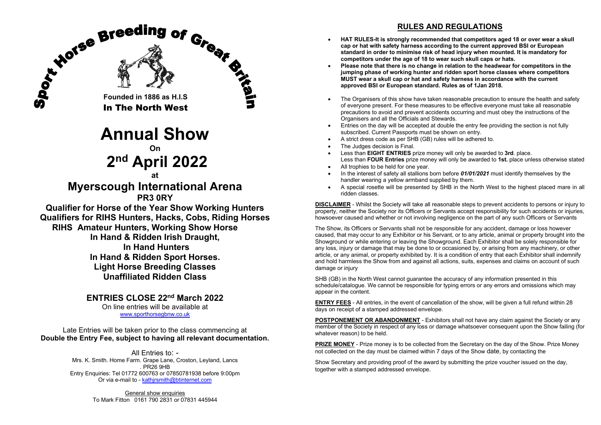

Late Entries will be taken prior to the class commencing at **Double the Entry Fee, subject to having all relevant documentation.**

> All Entries to: - Mrs. K. Smith. Home Farm. Grape Lane, Croston, Leyland, Lancs . PR26 9HB Entry Enquiries: Tel 01772 600763 or 07850781938 before 9:00pm Or via e-mail to - [kathjrsmith@btinternet.com](mailto:kathjrsmith@btinternet.com)

> > General show enquiries To Mark Fitton 0161 790 2831 or 07831 445944

# **RULES AND REGULATIONS**

- **HAT RULES-It is strongly recommended that competitors aged 18 or over wear a skull cap or hat with safety harness according to the current approved BSI or European standard in order to minimise risk of head injury when mounted. It is mandatory for competitors under the age of 18 to wear such skull caps or hats.**
- **Please note that there is no change in relation to the headwear for competitors in the jumping phase of working hunter and ridden sport horse classes where competitors MUST wear a skull cap or hat and safety harness in accordance with the current approved BSI or European standard. Rules as of 1Jan 2018.**
- The Organisers of this show have taken reasonable precaution to ensure the health and safety of everyone present. For these measures to be effective everyone must take all reasonable precautions to avoid and prevent accidents occurring and must obey the instructions of the Organisers and all the Officials and Stewards.
- Entries on the day will be accepted at double the entry fee providing the section is not fully subscribed. Current Passports must be shown on entry.
- A strict dress code as per SHB (GB) rules will be adhered to.
- The Judges decision is Final.
- Less than **EIGHT ENTRIES** prize money will only be awarded to **3rd**. place. Less than **FOUR Entries** prize money will only be awarded to **1st.** place unless otherwise stated
- All trophies to be held for one year.
- In the interest of safety all stallions born before *01/01/2021* must identify themselves by the handler wearing a yellow armband supplied by them.
- A special rosette will be presented by SHB in the North West to the highest placed mare in all ridden classes.

**DISCLAIMER** - Whilst the Society will take all reasonable steps to prevent accidents to persons or injury to property, neither the Society nor its Officers or Servants accept responsibility for such accidents or injuries howsoever caused and whether or not involving negligence on the part of any such Officers or Servants

The Show, its Officers or Servants shall not be responsible for any accident, damage or loss however caused, that may occur to any Exhibitor or his Servant, or to any article, animal or property brought into the Showground or while entering or leaving the Showground. Each Exhibitor shall be solely responsible for any loss, injury or damage that may be done to or occasioned by, or arising from any machinery, or other article, or any animal, or property exhibited by. It is a condition of entry that each Exhibitor shall indemnify and hold harmless the Show from and against all actions, suits, expenses and claims on account of such damage or injury

SHB (GB) in the North West cannot guarantee the accuracy of any information presented in this schedule/catalogue. We cannot be responsible for typing errors or any errors and omissions which may appear in the content.

**ENTRY FEES** - All entries, in the event of cancellation of the show, will be given a full refund within 28 days on receipt of a stamped addressed envelope.

**POSTPONEMENT OR ABANDONMENT** - Exhibitors shall not have any claim against the Society or any member of the Society in respect of any loss or damage whatsoever consequent upon the Show failing (for whatever reason) to be held.

**PRIZE MONEY** - Prize money is to be collected from the Secretary on the day of the Show. Prize Money not collected on the day must be claimed within 7 days of the Show date, by contacting the

Show Secretary and providing proof of the award by submitting the prize voucher issued on the day, together with a stamped addressed envelope.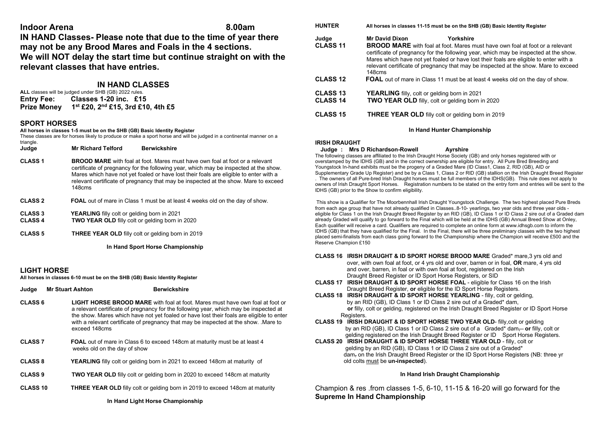# **Indoor Arena 8.00am**

**IN HAND Classes- Please note that due to the time of year there may not be any Brood Mares and Foals in the 4 sections. We will NOT delay the start time but continue straight on with the relevant classes that have entries.**

# **IN HAND CLASSES**

| ALL classes will be judged under SHB (GB) 2022 rules. |                                   |  |  |
|-------------------------------------------------------|-----------------------------------|--|--|
| <b>Entry Fee:</b>                                     | Classes 1-20 inc. £15             |  |  |
| <b>Prize Money</b>                                    | 1st £20, 2nd £15, 3rd £10, 4th £5 |  |  |

# **SPORT HORSES**

#### **All horses in classes 1-5 must be on the SHB (GB) Basic Identity Register**

These classes are for horses likely to produce or make a sport horse and will be judged in a continental manner on a

| triangle.<br>Judge               | <b>Mr Richard Telford</b>                                                                                    | <b>Berwickshire</b>                                                                                                                                                                                                                                                                                                                                        |
|----------------------------------|--------------------------------------------------------------------------------------------------------------|------------------------------------------------------------------------------------------------------------------------------------------------------------------------------------------------------------------------------------------------------------------------------------------------------------------------------------------------------------|
| <b>CLASS 1</b>                   | 148cms                                                                                                       | <b>BROOD MARE</b> with foal at foot Mares must have own foal at foot or a relevant<br>certificate of pregnancy for the following year, which may be inspected at the show.<br>Mares which have not yet foaled or have lost their foals are eligible to enter with a<br>relevant certificate of pregnancy that may be inspected at the show. Mare to exceed |
| <b>CLASS 2</b>                   |                                                                                                              | <b>FOAL</b> out of mare in Class 1 must be at least 4 weeks old on the day of show.                                                                                                                                                                                                                                                                        |
| <b>CLASS 3</b><br><b>CLASS 4</b> | <b>YEARLING</b> filly colt or gelding born in 2021<br><b>TWO YEAR OLD</b> filly colt or gelding born in 2020 |                                                                                                                                                                                                                                                                                                                                                            |
| <b>CLASS 5</b>                   | <b>THREE YEAR OLD</b> filly colt or gelding born in 2019                                                     |                                                                                                                                                                                                                                                                                                                                                            |

**In Hand Sport Horse Championship**

# **LIGHT HORSE**

**All horses in classes 6-10 must be on the SHB (GB) Basic Identity Register**

**Judge Mr Stuart Ashton Berwickshire** 

- **CLASS 6 LIGHT HORSE BROOD MARE** with foal at foot. Mares must have own foal at foot or a relevant certificate of pregnancy for the following year, which may be inspected at the show. Mares which have not yet foaled or have lost their foals are eligible to enter with a relevant certificate of pregnancy that may be inspected at the show. .Mare to exceed 148cms
- **CLASS 7 FOAL** out of mare in Class 6 to exceed 148cm at maturity must be at least 4 weeks old on the day of show
- **CLASS 8 YEARLING** filly colt or gelding born in 2021 to exceed 148cm at maturity of
- **CLASS 9 TWO YEAR OLD** filly colt or gelding born in 2020 to exceed 148cm at maturity
- **CLASS 10 THREE YEAR OLD** filly colt or gelding born in 2019 to exceed 148cm at maturity

| <b>HUNTER</b>                      | All horses in classes 11-15 must be on the SHB (GB) Basic Identity Register                                                                                                                                                                                                                                                                                                                                              |  |
|------------------------------------|--------------------------------------------------------------------------------------------------------------------------------------------------------------------------------------------------------------------------------------------------------------------------------------------------------------------------------------------------------------------------------------------------------------------------|--|
| Judge<br><b>CLASS 11</b>           | <b>Mr David Dixon</b><br>Yorkshire<br><b>BROOD MARE</b> with foal at foot. Mares must have own foal at foot or a relevant<br>certificate of pregnancy for the following year, which may be inspected at the show.<br>Mares which have not yet foaled or have lost their foals are eligible to enter with a<br>relevant certificate of pregnancy that may be inspected at the show. Mare to exceed<br>$148 \mathrm{cm}$ s |  |
| <b>CLASS 12</b>                    | <b>FOAL</b> out of mare in Class 11 must be at least 4 weeks old on the day of show.                                                                                                                                                                                                                                                                                                                                     |  |
| <b>CLASS 13</b><br><b>CLASS 14</b> | <b>YEARLING</b> filly, colt or gelding born in 2021<br><b>TWO YEAR OLD</b> filly, colt or gelding born in 2020                                                                                                                                                                                                                                                                                                           |  |
| <b>CLASS 15</b>                    | <b>THREE YEAR OLD</b> filly colt or gelding born in 2019                                                                                                                                                                                                                                                                                                                                                                 |  |
|                                    |                                                                                                                                                                                                                                                                                                                                                                                                                          |  |

### **In Hand Hunter Championship**

### **IRISH DRAUGHT**

#### **Judge : Mrs D Richardson-Rowell Ayrshire**

The following classes are affiliated to the Irish Draught Horse Society (GB) and only horses registered with or overstamped by the IDHS (GB) and in the correct ownership are eligible for entry. All Pure Bred Breeding and Youngstock In-hand exhibits must be the progeny of a Graded Mare (ID Class1, Class 2, RID (GB), AID or Supplementary Grade Up Register) and be by a Class 1, Class 2 or RID (GB) stallion on the Irish Draught Breed Register . The owners of all Pure-bred Irish Draught horses must be full members of the IDHS(GB). This rule does not apply to owners of Irish Draught Sport Horses. Registration numbers to be stated on the entry form and entries will be sent to the IDHS (GB) prior to the Show to confirm eligibility.

This show is a Qualifier for The Moorbennhall Irish Draught Youngstock Challenge. The two highest placed Pure Breds from each age group that have not already qualified in Classes..8-10- yearlings, two year olds and three year olds eligible for Class 1 on the Irish Draught Breed Register by an RID (GB), ID Class 1 or ID Class 2 sire out of a Graded dam already Graded will qualify to go forward to the Final which will be held at the IDHS (GB) Annual Breed Show at Onley, Each qualifier will receive a card. Qualifiers are required to complete an online form at www.idhsgb.com to inform the IDHS (GB) that they have qualified for the Final. In the Final, there will be three preliminary classes with the two highest placed semi-finalists from each class going forward to the Championship where the Champion will receive £500 and the Reserve Champion £150

#### **CLASS 16 IRISH DRAUGHT & ID SPORT HORSE BROOD MARE** Graded\* mare,3 yrs old and over, with own foal at foot, or 4 yrs old and over, barren or in foal, **OR** mare, 4 yrs old and over, barren, in foal or with own foal at foot, registered on the Irish Draught Breed Register or ID Sport Horse Registers, or SID

- **CLASS 17 IRISH DRAUGHT & ID SPORT HORSE FOAL**  eligible for Class 16 on the Irish Draught Breed Register, **or** eligible for the ID Sport Horse Registers.
- **CLASS 18 IRISH DRAUGHT & ID SPORT HORSE YEARLING**  filly, colt or gelding, by an RID (GB), ID Class 1 or ID Class 2 sire out of a Graded\* dam, **or** filly, colt or gelding, registered on the Irish Draught Breed Register or ID Sport Horse Registers.
- **CLASS 19 IRISH DRAUGHT & ID SPORT HORSE TWO YEAR OLD** filly,colt or gelding by an RID (GB), ID Class 1 or ID Class 2 sire out of a Graded\* dam, **or** filly, colt or gelding registered on the Irish Draught Breed Register or ID Sport Horse Registers.
- **CLASS 20 IRISH DRAUGHT & ID SPORT HORSE THREE YEAR OLD**  filly, colt or gelding by an RID (GB), ID Class 1 or ID Class 2 sire out of a Graded\* dam, on the Irish Draught Breed Register or the ID Sport Horse Registers (NB: three yr old colts must be **un-inspected**).

# **In Hand Irish Draught Championship**

Champion & res .from classes 1-5, 6-10, 11-15 & 16-20 will go forward for the **Supreme In Hand Championship**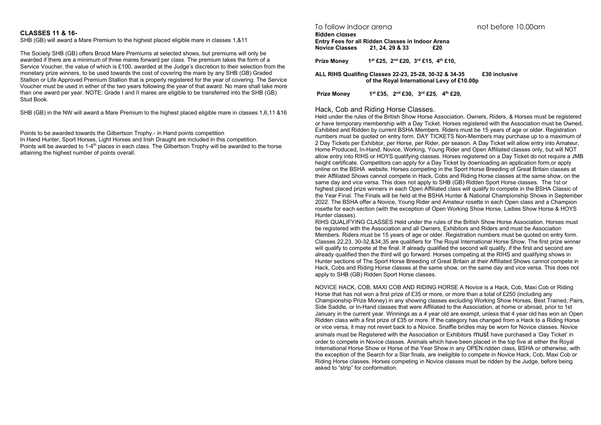#### **CLASSES 11 & 16-**

SHB (GB) will award a Mare Premium to the highest placed eligible mare in classes 1,&11

The Society SHB (GB) offers Brood Mare Premiums at selected shows, but premiums will only be awarded if there are a minimum of three mares forward per class. The premium takes the form of a Service Voucher, the value of which is £100, awarded at the Judge's discretion to their selection from the monetary prize winners, to be used towards the cost of covering the mare by any SHB (GB) Graded Stallion or Life Approved Premium Stallion that is properly registered for the year of covering. The Service Voucher must be used in either of the two years following the year of that award. No mare shall take more than one award per year. NOTE: Grade I and II mares are eligible to be transferred into the SHB (GB) Stud Book.

SHB (GB) in the NW will award a Mare Premium to the highest placed eligible mare in classes 1,6,11 &16

Points to be awarded towards the Gilbertson Trophy.- in Hand points competition In Hand Hunter, Sport Horses, Light Horses and Irish Draught are included in this competition. Points will be awarded to 1-4<sup>th</sup> places in each class. The Gilbertson Trophy will be awarded to the horse attaining the highest number of points overall.

To follow indoor arena not before 10.00am

#### **Ridden classes**

**Entry Fees for all Ridden Classes in Indoor Arena**  $Novice Classes$ 

**Prize Money 1st £25, 2nd £20, 3rd £15, 4th £10,** 

**ALL RIHS Qualifing Classes 22-23, 25-28, 30-32 & 34-35 £30 inclusive of the Royal International Levy of £10.00p**

**Prize Money 1st £35, 2nd £30, 3rd £25, 4th £20,** 

#### Hack, Cob and Riding Horse Classes.

Held under the rules of the British Show Horse Association. Owners, Riders, & Horses must be registered or have temporary membership with a Day Ticket. Horses registered with the Association must be Owned, Exhibited and Ridden by current BSHA Members. Riders must be 15 years of age or older. Registration numbers must be quoted on entry form. DAY TICKETS Non-Members may purchase up to a maximum of 2 Day Tickets per Exhibitor, per Horse, per Rider, per season. A Day Ticket will allow entry into Amateur, Home Produced, In-Hand, Novice, Working, Young Rider and Open Affiliated classes only, but will NOT allow entry into RIHS or HOYS qualifying classes. Horses registered on a Day Ticket do not require a JMB height certificate. Competitors can apply for a Day Ticket by downloading an application form,or apply online on the BSHA website. Horses competing in the Sport Horse Breeding of Great Britain classes at their Affiliated Shows cannot compete in Hack, Cobs and Riding Horse classes at the same show, on the same day and vice versa. This does not apply to SHB (GB) Ridden Sport Horse classes. The 1st or highest placed prize winners in each Open Affiliated class will qualify to compete in the BSHA Classic of the Year Final. The Finals will be held at the BSHA Hunter & National Championship Shows in September 2022. The BSHA offer a Novice, Young Rider and Amateur rosette in each Open class and a Champion rosette for each section (with the exception of Open Working Show Horse, Ladies Show Horse & HOYS Hunter classes).

RIHS QUALIFYING CLASSES Held under the rules of the British Show Horse Association. Horses must be registered with the Association and all Owners, Exhibitors and Riders and must be Association Members. Riders must be 15 years of age or older. Registration numbers must be quoted on entry form. Classes 22,23, 30-32,&34,35 are qualifiers for The Royal International Horse Show. The first prize winner will qualify to compete at the final. If already qualified the second will qualify, if the first and second are already qualified then the third will go forward. Horses competing at the RIHS and qualifying shows in Hunter sections of The Sport Horse Breeding of Great Britain at their Affiliated Shows cannot compete in Hack, Cobs and Riding Horse classes at the same show, on the same day and vice versa. This does not apply to SHB (GB) Ridden Sport Horse classes.

NOVICE HACK, COB, MAXI COB AND RIDING HORSE A Novice is a Hack, Cob, Maxi Cob or Riding Horse that has not won a first prize of £35 or more, or more than a total of £250 (including any Championship Prize Money) in any showing classes excluding Working Show Horses, Best Trained, Pairs, Side Saddle, or In-Hand classes that were Affiliated to the Association, at home or abroad, prior to 1st January in the current year. Winnings as a 4 year old are exempt, unless that 4 year old has won an Open Ridden class with a first prize of £35 or more. If the category has changed from a Hack to a Riding Horse or vice versa, it may not revert back to a Novice. Snaffle bridles may be worn for Novice classes. Novice animals must be Registered with the Association or Exhibitors must have purchased a 'Day Ticket' in order to compete in Novice classes. Animals which have been placed in the top five at either the Royal International Horse Show or Horse of the Year Show in any OPEN ridden class, BSHA or otherwise, with the exception of the Search for a Star finals, are ineligible to compete in Novice Hack, Cob, Maxi Cob or Riding Horse classes. Horses competing in Novice classes must be ridden by the Judge, before being asked to "strip" for conformation.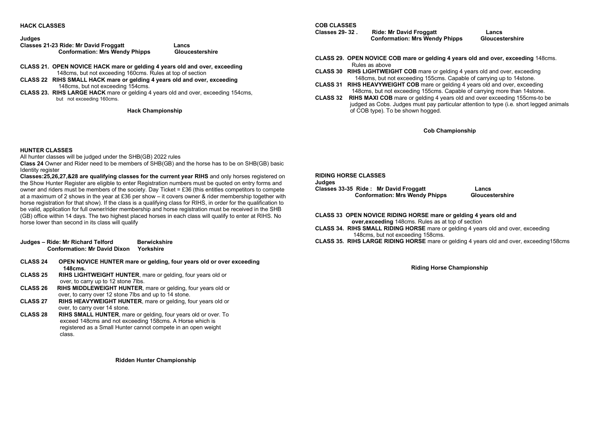**HACK CLASSES**

# **Judges**

| -------<br>Classes 21-23 Ride: Mr David Froggatt | Lancs           |
|--------------------------------------------------|-----------------|
| <b>Conformation: Mrs Wendy Phipps</b>            | Gloucestershire |

- **CLASS 21. OPEN NOVICE HACK mare or gelding 4 years old and over, exceeding** 148cms, but not exceeding 160cms. Rules at top of section
- **CLASS 22 RIHS SMALL HACK mare or gelding 4 years old and over, exceeding** 148cms, but not exceeding 154cms.
- **CLASS 23. RIHS LARGE HACK** mare or gelding 4 years old and over, exceeding 154cms, but not exceeding 160cms.

**Hack Championship**

#### **HUNTER CLASSES**

All hunter classes will be judged under the SHB(GB) 2022 rules

**Class 24** Owner and Rider need to be members of SHB(GB) and the horse has to be on SHB(GB) basic Identity register

**Classes:25,26,27,&28 are qualifying classes for the current year RIHS** and only horses registered on the Show Hunter Register are eligible to enter Registration numbers must be quoted on entry forms and owner and riders must be members of the society. Day Ticket = £36 (this entitles competitors to compete at a maximum of 2 shows in the year at £36 per show – it covers owner & rider membership together with horse registration for that show). If the class is a qualifying class for RIHS, in order for the qualification to be valid, application for full owner/rider membership and horse registration must be received in the SHB (GB) office within 14 days. The two highest placed horses in each class will qualify to enter at RIHS. No horse lower than second in its class will qualify

|                 | Judges – Ride: Mr Richard Telford<br><b>Conformation: Mr David Dixon</b> | <b>Berwickshire</b><br>Yorkshire                                             |
|-----------------|--------------------------------------------------------------------------|------------------------------------------------------------------------------|
| <b>CLASS 24</b> | 148cms.                                                                  | OPEN NOVICE HUNTER mare or gelding, four years old or over exceeding         |
| $C1$ ACC OF     |                                                                          | <b>DUIO LIOUTMEIOUT LUIMTED</b> <i>mana an maldinal factorization</i> and an |

- **CLASS 25 RIHS LIGHTWEIGHT HUNTER**, mare or gelding, four years old or over, to carry up to 12 stone 7lbs.<br>CLASS 26 RIHS MIDDLEWEIGHT HUNTER
- **RIHS MIDDLEWEIGHT HUNTER**, mare or gelding, four years old or over, to carry over 12 stone 7lbs and up to 14 stone.<br>CLASS 27 RIHS HEAVYWEIGHT HUNTER, mare or gelding, fo
- **RIHS HEAVYWEIGHT HUNTER, mare or gelding, four years old or** over, to carry over 14 stone.<br>CLASS 28 RIHS SMALL HUNTER ma
- **RIHS SMALL HUNTER**, mare or gelding, four years old or over. To exceed 148cms and not exceeding 158cms. A Horse which is registered as a Small Hunter cannot compete in an open weight class.

**COB CLASSES**

**Classes 29- 32 . Ride: Mr David Froggatt Lancs Conformation: Mrs Wendy Phipps** 

- **CLASS 29. OPEN NOVICE COB mare or gelding 4 years old and over, exceeding** 148cms. Rules as above
- **CLASS 30 RIHS LIGHTWEIGHT COB** mare or gelding 4 years old and over, exceeding 148cms, but not exceeding 155cms. Capable of carrying up to 14stone.
- **CLASS 31 RIHS HEAVYWEIGHT COB** mare or gelding 4 years old and over, exceeding 148cms, but not exceeding 155cms. Capable of carrying more than 14stone.
- **CLASS 32 RIHS MAXI COB** mare or gelding 4 years old and over exceeding 155cms-to be judged as Cobs. Judges must pay particular attention to type (i.e. short legged animals of COB type). To be shown hogged.

**Cob Championship** 

| <b>RIDING HORSE CLASSES</b>           |                 |  |  |
|---------------------------------------|-----------------|--|--|
| Judges                                |                 |  |  |
| Classes 33-35 Ride: Mr David Froggatt | Lancs           |  |  |
| <b>Conformation: Mrs Wendy Phipps</b> | Gloucestershire |  |  |

**CLASS 33 OPEN NOVICE RIDING HORSE mare or gelding 4 years old and over,exceeding** 148cms. Rules as at top of section **CLASS 34. RIHS SMALL RIDING HORSE** mare or gelding 4 years old and over, exceeding

148cms, but not exceeding 158cms.

**CLASS 35. RIHS LARGE RIDING HORSE** mare or gelding 4 years old and over, exceeding158cms

**Riding Horse Championship** 

**Ridden Hunter Championship**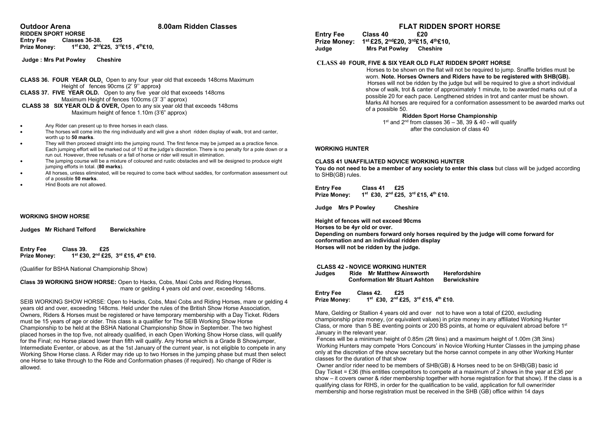# **Outdoor Arena 8.00am Ridden Classes**

**RIDDEN SPORT HORSE Entry Fee Classes 36-38. £25 Prize Money: 1st £30, 2nd£25, 3rd£15 , 4th£10,** 

**Judge : Mrs Pat Powley Cheshire**

#### **CLASS 36. FOUR YEAR OLD.** Open to any four year old that exceeds 148cms Maximum Height of fences 90cms (2' 9'' approx**)**

**CLASS 37. FIVE YEAR OLD.** Open to any five year old that exceeds 148cms Maximum Height of fences 100cms (3' 3'' approx)

**CLASS 38 SIX YEAR OLD & OVER,** Open to any six year old that exceeds 148cms Maximum height of fence 1.10m (3'6" approx)

- Any Rider can present up to three horses in each class.
- The horses will come into the ring individually and will give a short ridden display of walk, trot and canter, worth up to **50 marks**.
- They will then proceed straight into the jumping round. The first fence may be jumped as a practice fence. Each jumping effort will be marked out of 10 at the judge's discretion. There is no penalty for a pole down or a run out. However, three refusals or a fall of horse or rider will result in elimination.
- The jumping course will be a mixture of coloured and rustic obstacles and will be designed to produce eight jumping efforts in total. (**80 marks**).
- All horses, unless eliminated, will be required to come back without saddles, for conformation assessment out of a possible **50 marks**.
- Hind Boots are not allowed.

#### **WORKING SHOW HORSE**

|  | Judges Mr Richard Telford | <b>Berwickshire</b> |
|--|---------------------------|---------------------|
|--|---------------------------|---------------------|

**Entry Fee** Class 39. £25<br>Prize Money: 1<sup>st</sup> £30, 2<sup>nd</sup> £25 **Prize Money: 1st £30, 2nd £25, 3rd £15, 4th £10.**

(Qualifier for BSHA National Championship Show)

**Class 39 WORKING SHOW HORSE:** Open to Hacks, Cobs, Maxi Cobs and Riding Horses, mare or gelding 4 years old and over, exceeding 148cms.

SEIB WORKING SHOW HORSE: Open to Hacks, Cobs, Maxi Cobs and Riding Horses, mare or gelding 4 years old and over, exceeding 148cms. Held under the rules of the British Show Horse Association, Owners, Riders & Horses must be registered or have temporary membership with a Day Ticket. Riders must be 15 years of age or older. This class is a qualifier for The SEIB Working Show Horse Championship to be held at the BSHA National Championship Show in September. The two highest placed horses in the top five, not already qualified, in each Open Working Show Horse class, will qualify for the Final; no Horse placed lower than fifth will qualify. Any Horse which is a Grade B Showjumper, Intermediate Eventer, or above, as at the 1st January of the current year, is not eligible to compete in any Working Show Horse class. A Rider may ride up to two Horses in the jumping phase but must then select one Horse to take through to the Ride and Conformation phases (if required). No change of Rider is allowed.

# **FLAT RIDDEN SPORT HORSE**

**Entry Fee Class 40 Prize Money: 1st £25, 2nd£20, 3rd£15, 4th£10, Mrs Pat Powley Cheshire** 

#### **CLASS 40 FOUR, FIVE & SIX YEAR OLD FLAT RIDDEN SPORT HORSE**

Horses to be shown on the flat will not be required to jump. Snaffle bridles must be worn. **Note. Horses Owners and Riders have to be registered with SHB(GB).** Horses will not be ridden by the judge but will be required to give a short individual show of walk, trot & canter of approximately 1 minute, to be awarded marks out of a possible 20 for each pace. Lengthened strides in trot and canter must be shown. Marks All horses are required for a conformation assessment to be awarded marks out of a possible 50.

#### **Ridden Sport Horse Championship**

 $1<sup>st</sup>$  and  $2<sup>nd</sup>$  from classes  $36 - 38$ ,  $39$  & 40 - will qualify after the conclusion of class 40

#### **WORKING HUNTER**

#### **CLASS 41 UNAFFILIATED NOVICE WORKING HUNTER**

**You do not need to be a member of any society to enter this class** but class will be judged according to SHB(GB) rules.

Entry Fee Class 41 £25<br>Prize Monev: 1<sup>st</sup> £30, 2<sup>nd</sup> £25. **Prize Money: 1st £30, 2nd £25, 3rd £15, 4th £10.**

**Judge Mrs P Powley Cheshire**

**Height of fences will not exceed 90cms Horses to be 4yr old or over. Depending on numbers forward only horses required by the judge will come forward for conformation and an individual ridden display Horses will not be ridden by the judge.**

#### **CLASS 42 - NOVICE WORKING HUNTER**

| Judges | <b>Mr Matthew Ainsworth</b><br>Ride  | Herefordshire       |
|--------|--------------------------------------|---------------------|
|        | <b>Conformation Mr Stuart Ashton</b> | <b>Berwickshire</b> |

**Entry Fee Class 42. £25 Prize Money: 1st £30, 2nd £25, 3rd £15, 4th £10.**

Mare, Gelding or Stallion 4 years old and over not to have won a total of £200, excluding championship prize money, (or equivalent values) in prize money in any affiliated Working Hunter Class, or more than 5 BE eventing points or 200 BS points, at home or equivalent abroad before  $1<sup>st</sup>$ January in the relevant year.

Fences will be a minimum height of 0.85m (2ft 9ins) and a maximum height of 1.00m (3ft 3ins) Working Hunters may compete 'Hors Concours' in Novice Working Hunter Classes in the jumping phase only at the discretion of the show secretary but the horse cannot compete in any other Working Hunter classes for the duration of that show

Owner and/or rider need to be members of SHB(GB) & Horses need to be on SHB(GB) basic id Day Ticket = £36 (this entitles competitors to compete at a maximum of 2 shows in the year at £36 per show – it covers owner & rider membership together with horse registration for that show). If the class is a qualifying class for RIHS, in order for the qualification to be valid, application for full owner/rider membership and horse registration must be received in the SHB (GB) office within 14 days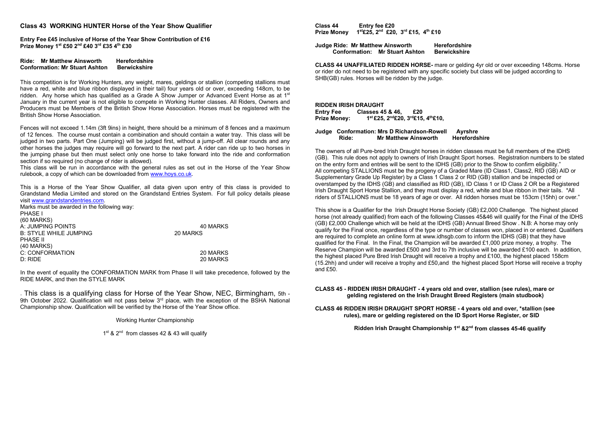#### **Class 43 WORKING HUNTER Horse of the Year Show Qualifier**

**Entry Fee £45 inclusive of Horse of the Year Show Contribution of £16 Prize Money 1st £50 2nd £40 3rd £35 4th £30**

**Ride: Mr Matthew Ainsworth Herefordshire Conformation: Mr Stuart Ashton** 

This competition is for Working Hunters, any weight, mares, geldings or stallion (competing stallions must have a red, white and blue ribbon displayed in their tail) four years old or over, exceeding 148cm, to be ridden. Any horse which has qualified as a Grade A Show Jumper or Advanced Event Horse as at 1<sup>st</sup> January in the current year is not eligible to compete in Working Hunter classes. All Riders, Owners and Producers must be Members of the British Show Horse Association. Horses must be registered with the British Show Horse Association.

Fences will not exceed 1.14m (3ft 9ins) in height, there should be a minimum of 8 fences and a maximum of 12 fences. The course must contain a combination and should contain a water tray. This class will be judged in two parts. Part One (Jumping) will be judged first, without a jump-off. All clear rounds and any other horses the judges may require will go forward to the next part. A rider can ride up to two horses in the jumping phase but then must select only one horse to take forward into the ride and conformation section if so required (no change of rider is allowed).

This class will be run in accordance with the general rules as set out in the Horse of the Year Show rulebook, a copy of which can be downloaded fro[m www.hoys.co.uk.](http://www.hoys.co.uk/) 

This is a Horse of the Year Show Qualifier, all data given upon entry of this class is provided to Grandstand Media Limited and stored on the Grandstand Entries System. For full policy details please visi[t www.grandstandentries.com.](http://www.grandstandentries.com/)

Marks must be awarded in the following way: PHASE I (60 MARKS) A: JUMPING POINTS 40 MARKS **B: STYLE WHILE JUMPING** PHASE II (40 MARKS) C: CONFORMATION 20 MARKS D: RIDE 20 MARKS

In the event of equality the CONFORMATION MARK from Phase II will take precedence, followed by the RIDE MARK, and then the STYLE MARK

. This class is a qualifying class for Horse of the Year Show, NEC, Birmingham, 5th - 9th October 2022. Qualification will not pass below 3<sup>rd</sup> place, with the exception of the BSHA National Championship show. Qualification will be verified by the Horse of the Year Show office.

Working Hunter Championship

1<sup>st</sup> & 2<sup>nd</sup> from classes 42 & 43 will qualify

**Class 44 Entry fee £20 Prize Money 1st£25, 2nd £20, 3rd £15, 4th £10** 

**Judge Ride: Mr Matthew Ainsworth Herefordshire Conformation: Mr Stuart Ashton** 

**CLASS 44 UNAFFILIATED RIDDEN HORSE-** mare or gelding 4yr old or over exceeding 148cms. Horse or rider do not need to be registered with any specific society but class will be judged according to SHB(GB) rules. Horses will be ridden by the judge.

**RIDDEN IRISH DRAUGHT Entry Fee Classes 45 & 46, £20 Prize Money: 1st £25, 2nd£20, 3rd£15, 4th£10,**

| Judge Conformation: Mrs D Richardson-Rowell | Ayrshre                     |               |
|---------------------------------------------|-----------------------------|---------------|
| Ride:                                       | <b>Mr Matthew Ainsworth</b> | Herefordshire |

The owners of all Pure-bred Irish Draught horses in ridden classes must be full members of the IDHS (GB). This rule does not apply to owners of Irish Draught Sport horses. Registration numbers to be stated on the entry form and entries will be sent to the IDHS (GB) prior to the Show to confirm eligibility." All competing STALLIONS must be the progeny of a Graded Mare (ID Class1, Class2, RID (GB) AID or Supplementary Grade Up Register) by a Class 1 Class 2 or RID (GB) stallion and be inspected or overstamped by the IDHS (GB) and classified as RID (GB), ID Class 1 or ID Class 2 OR be a Registered Irish Draught Sport Horse Stallion, and they must display a red, white and blue ribbon in their tails. \*All riders of STALLIONS must be 18 years of age or over. All ridden horses must be 153cm (15hh) or over."

This show is a Qualifier for the Irish Draught Horse Society (GB) £2,000 Challenge. The highest placed horse (not already qualified) from each of the following Classes 45&46 will qualify for the Final of the IDHS (GB) £2,000 Challenge which will be held at the IDHS (GB) Annual Breed Show . N.B: A horse may only qualify for the Final once, regardless of the type or number of classes won, placed in or entered. Qualifiers are required to complete an online form at www.idhsgb.com to inform the IDHS (GB) that they have qualified for the Final. In the Final, the Champion will be awarded £1,000 prize money, a trophy. The Reserve Champion will be awarded £500 and 3rd to 7th inclusive will be awarded £100 each. In addition, the highest placed Pure Bred Irish Draught will receive a trophy and £100, the highest placed 158cm (15.2hh) and under will receive a trophy and £50,and the highest placed Sport Horse will receive a trophy and £50.

#### **CLASS 45 - RIDDEN IRISH DRAUGHT - 4 years old and over, stallion (see rules), mare or gelding registered on the Irish Draught Breed Registers (main studbook)**

**CLASS 46 RIDDEN IRISH DRAUGHT SPORT HORSE - 4 years old and over, \*stallion (see rules), mare or gelding registered on the ID Sport Horse Register, or SID** 

**Ridden Irish Draught Championship 1st &2nd from classes 45-46 qualify**